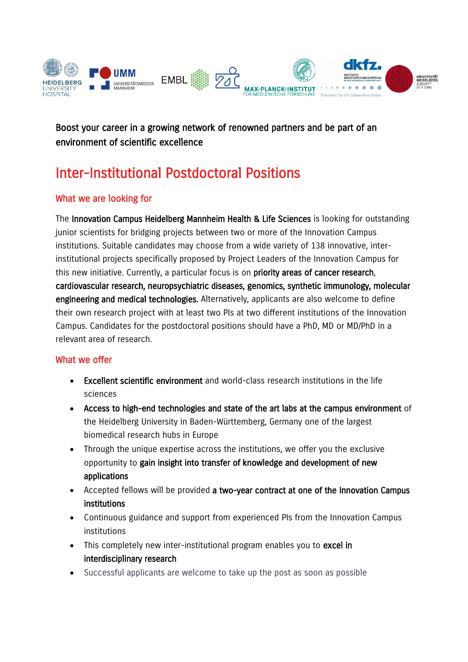

Boost your career in a growing network of renowned partners and be part of an environment of scientific excellence

# Inter-Institutional Postdoctoral Positions

## What we are looking for

The [Innovation Campus Heidelberg Mannheim Health & Life Sciences](https://www.heidelberg-mannheim-alliance.org/) is looking for outstanding junior scientists for bridging projects between two or more of the Innovation Campus institutions. Suitable candidates may choose from a wide variety of 138 innovative, interinstitutional projects specifically proposed by Project Leaders of the Innovation Campus for this new initiative. Currently, a particular focus is on priority areas of cancer research, cardiovascular research, neuropsychiatric diseases, genomics, synthetic immunology, molecular engineering and medical technologies. Alternatively, applicants are also welcome to define their own research project with at least two PIs at two different institutions of the Innovation Campus. Candidates for the postdoctoral positions should have a PhD, MD or MD/PhD in a relevant area of research.

#### What we offer

- Excellent scientific environment and world-class research institutions in the life sciences
- Access to high-end technologies and state of the art labs at the campus environment of the Heidelberg University in Baden-Württemberg, Germany one of the largest biomedical research hubs in Europe
- Through the unique expertise across the institutions, we offer you the exclusive opportunity to gain insight into transfer of knowledge and development of new applications
- Accepted fellows will be provided a two-year contract at one of the Innovation Campus institutions
- Continuous guidance and support from experienced PIs from the Innovation Campus institutions
- This completely new inter-institutional program enables you to excel in interdisciplinary research
- Successful applicants are welcome to take up the post as soon as possible